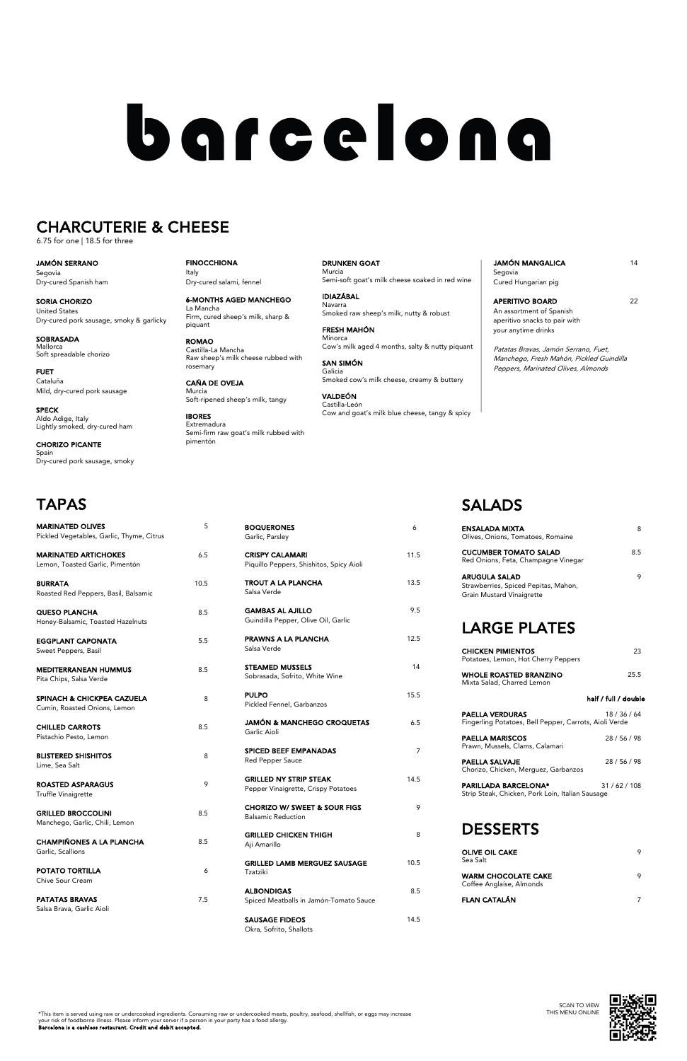Garlic, Parsley

Piquillo Peppers, Shishitos, Spicy Aioli

Salsa Verde

Guindilla Pepper, Olive Oil, Garlic

Salsa Verde

Sobrasada, Sofrito, White Wine

Pickled Fennel, Garbanzos

**ISAGE FIDEOS** 14.5 Okra, Sofrito, Shallots

Garlic Aioli

Red Pepper Sauce

| <b>GRILLED NY STRIP STEAK</b><br>Pepper Vinaigrette, Crispy Potatoes | 14 5 |
|----------------------------------------------------------------------|------|
| <b>CHORIZO W/ SWEET &amp; SOUR FIGS</b><br><b>Balsamic Reduction</b> | 9    |
| GRILLED CHICKEN THIGH<br>Aji Amarillo                                | 8    |
| <b>GRILLED LAMB MERGUEZ SAUSAGE</b><br>Tzatziki                      | 10.5 |
| <b>ALBONDIGAS</b><br>Spiced Meatballs in Jamón-Tomato Sauce          | 8.5  |

BOQUERONES 6

CRISPY CALAMARI 11.5

**TROUT A LA PLANCHA** 13.5

GAMBAS AL AJILLO 9.5

**PRAWNS A LA PLANCHA** 12.5

STEAMED MUSSELS 14

PULPO 15.5

JAMÓN & MANCHEGO CROQUETAS 6.5

SPICED BEEF EMPANADAS 7

**PAELLA SALVAJE** 28 / 56 / 98 Chorizo, Chicken, Merguez, Garbanzos

| <b>ROASTED ASPARAGUS</b><br><b>Truffle Vinaigrette</b>      | 9   | ואט<br>Pep          |
|-------------------------------------------------------------|-----|---------------------|
| <b>GRILLED BROCCOLINI</b><br>Manchego, Garlic, Chili, Lemon | 8.5 | <b>CHO</b><br>Bals  |
| <b>CHAMPIÑONES A LA PLANCHA</b><br>Garlic, Scallions        | 8.5 | <b>GRI</b><br>Aji A |
| <b>POTATO TORTILLA</b><br>Chive Sour Cream                  | 6   | <b>GRI</b><br>Tzat  |
| <b>PATATAS BRAVAS</b><br>Salsa Brava, Garlic Aioli          | 7.5 | <b>ALB</b><br>Spic  |
|                                                             |     | SAU                 |

# SALADS

JAMÓN MANGALICA 14 Segovia Cured Hungarian pig

APERITIVO BOARD 22 An assortment of Spanish aperitivo snacks to pair with your anytime drinks

**SOBRASADA** Mallorca Soft spreadable chorizo

| ENSALADA MIXTA<br>Olives, Onions, Tomatoes, Romaine                                       | 8                    |
|-------------------------------------------------------------------------------------------|----------------------|
| <b>CUCUMBER TOMATO SALAD</b><br>Red Onions, Feta, Champagne Vinegar                       | 8.5                  |
| <b>ARUGULA SALAD</b><br>Strawberries, Spiced Pepitas, Mahon,<br>Grain Mustard Vinaigrette | 9                    |
| <b>LARGE PLATES</b>                                                                       |                      |
| <b>CHICKEN PIMIENTOS</b><br>Potatoes, Lemon, Hot Cherry Peppers                           | 23                   |
| <b>WHOLE ROASTED BRANZINO</b><br>Mixta Salad, Charred Lemon                               | 25.5                 |
|                                                                                           | half / full / double |
| <b>PAELLA VERDURAS</b><br>Fingerling Potatoes, Bell Pepper, Carrots, Aioli Verde          | 18 / 36 / 64         |
| <b>PAELLA MARISCOS</b><br>Prawn, Mussels, Clams, Calamari                                 | 28 / 56 / 98         |
| .                                                                                         | 00151100             |

| <b>PARILLADA BARCELONA*</b>                      | 31/62/108 |
|--------------------------------------------------|-----------|
| Strip Steak, Chicken, Pork Loin, Italian Sausage |           |

## DESSERTS

| OLIVE OIL CAKE<br>Sea Salt                                      |  |
|-----------------------------------------------------------------|--|
| WARM CHOCOLATE CAKE<br>$C \cdot C$ , $A \cdot L'$ , $A \cdot L$ |  |

Coffee Anglaíse, Almonds

FLAN CATALÁN 7

FINOCCHIONA Italy Dry-cured salami, fennel

| <b>MARINATED OLIVES</b><br>Pickled Vegetables, Garlic, Thyme, Citrus  | 5    |
|-----------------------------------------------------------------------|------|
| <b>MARINATED ARTICHOKES</b><br>Lemon, Toasted Garlic, Pimentón        | 6.5  |
| <b>BURRATA</b><br>Roasted Red Peppers, Basil, Balsamic                | 10.5 |
| <b>QUESO PLANCHA</b><br>Honey-Balsamic, Toasted Hazelnuts             | 8.5  |
| <b>EGGPLANT CAPONATA</b><br>Sweet Peppers, Basil                      | 5.5  |
| <b>MEDITERRANEAN HUMMUS</b><br>Pita Chips, Salsa Verde                | 8.5  |
| <b>SPINACH &amp; CHICKPEA CAZUELA</b><br>Cumin, Roasted Onions, Lemon | 8    |
| <b>CHILLED CARROTS</b><br>Pistachio Pesto, Lemon                      | 8.5  |
| <b>BLISTERED SHISHITOS</b><br>Lime, Sea Salt                          | 8    |

6-MONTHS AGED MANCHEGO La Mancha Firm, cured sheep's milk, sharp & piquant

ROMAO Castilla-La Mancha Raw sheep's milk cheese rubbed with rosemary

CAÑA DE OVEJA Murcia Soft-ripened sheep's milk, tangy

IBORES Extremadura Semi-firm raw goat's milk rubbed with pimentón

DRUNKEN GOAT Murcia Semi-soft goat's milk cheese soaked in red wine

 \*This item is served using raw or undercooked ingredients. Consuming raw or undercooked meats, poultry, seafood, shellfish, or eggs may increase your risk of foodborne illness. Please inform your server if a person in your party has a food allergy.

IDIAZÁBAL Navarra Smoked raw sheep's milk, nutty & robust

FRESH MAHÓN Minorca Cow's milk aged 4 months, salty & nutty piquant

SAN SIMÓN Galicia Smoked cow's milk cheese, creamy & buttery

VALDEÓN Castilla-León Cow and goat's milk blue cheese, tangy & spicy Patatas Bravas, Jamón Serrano, Fuet, Manchego, Fresh Mahón, Pickled Guindilla Peppers, Marinated Olives, Almonds

JAMÓN SERRANO Segovia Dry-cured Spanish ham

SORIA CHORIZO United States Dry-cured pork sausage, smoky & garlicky

FUET Cataluña Mild, dry-cured pork sausage

SPECK Aldo Adige, Italy Lightly smoked, dry-cured ham

CHORIZO PICANTE Spain Dry-cured pork sausage, smoky

# barcelona

# CHARCUTERIE & CHEESE

6.75 for one | 18.5 for three

# TAPAS

Barcelona is a cashless restaurant. Credit and debit accepted.

SCAN TO VIEW THIS MENU ONLINE